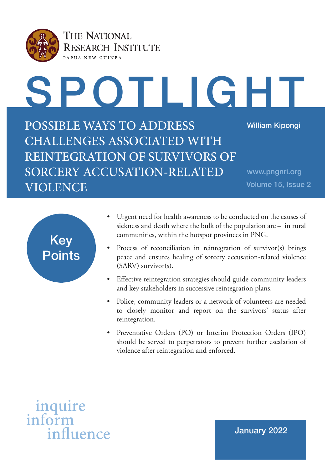

SPOTLIGHT POSSIBLE WAYS TO ADDRESS CHALLENGES ASSOCIATED WITH REINTEGRATION OF SURVIVORS OF SORCERY ACCUSATION-RELATED VIOLENCE William Kipongi www.pngnri.org Volume 15, Issue 2



- Urgent need for health awareness to be conducted on the causes of sickness and death where the bulk of the population are – in rural communities, within the hotspot provinces in PNG.
- Process of reconciliation in reintegration of survivor(s) brings peace and ensures healing of sorcery accusation-related violence (SARV) survivor(s).
- Effective reintegration strategies should guide community leaders and key stakeholders in successive reintegration plans.
- Police, community leaders or a network of volunteers are needed to closely monitor and report on the survivors' status after reintegration.
- Preventative Orders (PO) or Interim Protection Orders (IPO) should be served to perpetrators to prevent further escalation of violence after reintegration and enforced.



January 2022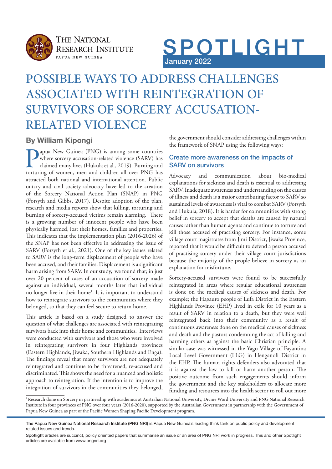



### POSSIBLE WAYS TO ADDRESS CHALLENGES ASSOCIATED WITH REINTEGRATION OF SURVIVORS OF SORCERY ACCUSATION-RELATED VIOLENCE

### **By William Kipongi**

apua New Guinea (PNG) is among some countries where sorcery accusation-related violence (SARV) has claimed many lives (Hukula et al., 2019). Burning and torturing of women, men and children all over PNG has attracted both national and international attention. Public outcry and civil society advocacy have led to the creation of the Sorcery National Action Plan (SNAP) in PNG (Forsyth and Gibbs, 2017). Despite adoption of the plan, research and media reports show that killing, torturing and burning of sorcery-accused victims remain alarming. There is a growing number of innocent people who have been physically harmed, lost their homes, families and properties. This indicates that the implementation plan (2016-2026) of the SNAP has not been efective in addressing the issue of SARV (Forsyth et al., 2021). One of the key issues related to SARV is the long-term displacement of people who have been accused, and their families. Displacement is a signifcant harm arising from SARV. In our study, we found that; in just over 20 percent of cases of an accusation of sorcery made against an individual, several months later that individual no longer live in their home<sup>1</sup>. It is important to understand how to reintegrate survivors to the communities where they belonged, so that they can feel secure to return home.

This article is based on a study designed to answer the question of what challenges are associated with reintegrating survivors back into their home and communities. Interviews were conducted with survivors and those who were involved in reintegrating survivors in four Highlands provinces (Eastern Highlands, Jiwaka, Southern Highlands and Enga). The findings reveal that many survivors are not adequately reintegrated and continue to be threatened, re-accused and discriminated. This shows the need for a nuanced and holistic approach to reintegration. If the intention is to improve the integration of survivors in the communities they belonged,

the government should consider addressing challenges within the framework of SNAP using the following ways:

### Create more awareness on the impacts of SARV on survivors

Advocacy and communication about bio-medical explanations for sickness and death is essential to addressing SARV. Inadequate awareness and understanding on the causes of illness and death is a major contributing factor to SARV so sustained levels of awareness is vital to combat SARV (Forsyth and Hukula, 2018). It is harder for communities with strong belief in sorcery to accept that deaths are caused by natural causes rather than human agents and continue to torture and kill those accused of practising sorcery. For instance, some village court magistrates from Jimi District, Jiwaka Province, reported that it would be difficult to defend a person accused of practising sorcery under their village court jurisdictions because the majority of the people believe in sorcery as an explanation for misfortune.

Sorcery-accused survivors were found to be successfully reintegrated in areas where regular educational awareness is done on the medical causes of sickness and death. For example; the Hagauro people of Lufa District in the Eastern Highlands Province (EHP) lived in exile for 10 years as a result of SARV in relation to a death, but they were well reintegrated back into their community as a result of continuous awareness done on the medical causes of sickness and death and the pastors condemning the act of killing and harming others as against the basic Christian principle. A similar case was witnessed in the Yago Village of Fayantina Local Level Government (LLG) in Henganof District in the EHP. The human rights defenders also advocated that it is against the law to kill or harm another person. The positive outcome from such engagements should inform the government and the key stakeholders to allocate more funding and resources into the health sector to roll out more

<sup>1</sup> Research done on Sorcery in partnership with academics at Australian National University, Divine Word University and PNG National Research Institute in four provinces of PNG over four years (2016-2020), supported by the Australian Government in partnership with the Government of Papua New Guinea as part of the Pacifc Women Shaping Pacifc Development program.

The Papua New Guinea National Research Institute (PNG NRI) is Papua New Guinea's leading think tank on public policy and development related issues and trends.

Spotlight articles are succinct, policy oriented papers that summarise an issue or an area of PNG NRI work in progress. This and other Spotlight articles are available from www.pngnri.org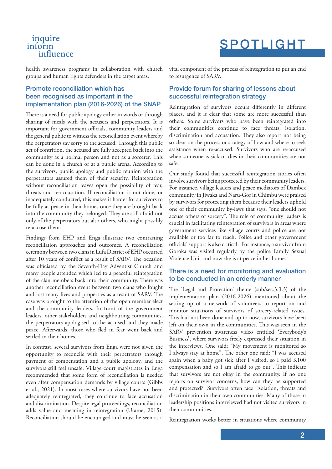### inquire inform influence

# SPOTLIGHT

health awareness programs in collaboration with church groups and human rights defenders in the target areas.

### Promote reconciliation which has been recognised as important in the implementation plan (2016-2026) of the SNAP

There is a need for public apology either in words or through sharing of meals with the accusers and perpetrators. It is important for government officials, community leaders and the general public to witness the reconciliation event whereby the perpetrators say sorry to the accused. Through this public act of contrition, the accused are fully accepted back into the community as a normal person and not as a sorcerer. This can be done in a church or at a public arena. According to the survivors, public apology and public reunion with the perpetrators assured them of their security. Reintegration without reconciliation leaves open the possibility of fear, threats and re-accusation. If reconciliation is not done, or inadequately conducted, this makes it harder for survivors to be fully at peace in their homes once they are brought back into the community they belonged. They are still afraid not only of the perpetrators but also others, who might possibly re-accuse them.

Findings from EHP and Enga illustrate two contrasting reconciliation approaches and outcomes. A reconciliation ceremony between two clans in Lufa District of EHP occurred after 10 years of conflict as a result of SARV. The occasion was officiated by the Seventh-Day Adventist Church and many people attended which led to a peaceful reintegration of the clan members back into their community. There was another reconciliation event between two clans who fought and lost many lives and properties as a result of SARV. The case was brought to the attention of the open member elect and the community leaders. In front of the government leaders, other stakeholders and neighbouring communities, the perpetrators apologised to the accused and they made peace. Afterwards, those who fled in fear went back and settled in their homes.

In contrast, several survivors from Enga were not given the opportunity to reconcile with their perpetrators through payment of compensation and a public apology, and the survivors still feel unsafe. Village court magistrates in Enga recommended that some form of reconciliation is needed even after compensation demands by village courts (Gibbs et al., 2021). In most cases where survivors have not been adequately reintegrated, they continue to face accusation and discrimination. Despite legal proceedings, reconciliation adds value and meaning in reintegration (Urame, 2015). Reconciliation should be encouraged and must be seen as a vital component of the process of reintegration to put an end to resurgence of SARV.

### Provide forum for sharing of lessons about successful reintegration strategy

Reintegration of survivors occurs diferently in diferent places, and it is clear that some are more successful than others. Some survivors who have been reintegrated into their communities continue to face threats, isolation, discrimination and accusation. They also report not being so clear on the process or strategy of how and where to seek assistance when re-accused. Survivors who are re-accused when someone is sick or dies in their communities are not safe.

Our study found that successful reintegration stories often involve survivors being protected by their community leaders. For instance, village leaders and peace mediators of Dambex community in Jiwaka and Naru-Gor in Chimbu were praised by survivors for protecting them because their leaders uphold one of their community by-laws that says, "one should not accuse others of sorcery". The role of community leaders is crucial in facilitating reintegration of survivors in areas where government services like village courts and police are not available or too far to reach. Police and other government officials' support is also critical. For instance, a survivor from Goroka was visited regularly by the police Family Sexual Violence Unit and now she is at peace in her home.

#### There is a need for monitoring and evaluation to be conducted in an orderly manner

The 'Legal and Protection' theme (sub/sec.3.3.3) of the implementation plan (2016-2026) mentioned about the setting up of a network of volunteers to report on and monitor situations of survivors of sorcery-related issues. This had not been done and up to now, survivors have been left on their own in the communities. This was seen in the SARV prevention awareness video entitled 'Everybody's Business', where survivors freely expressed their situation in the interviews. One said: "My movement is monitored so I always stay at home". The other one said: "I was accused again when a baby got sick after I visited, so I paid K100 compensation and so I am afraid to go out". This indicate that survivors are not okay in the community. If no one reports on survivor concerns, how can they be supported and protected? Survivors often face isolation, threats and discrimination in their own communities. Many of those in leadership positions interviewed had not visited survivors in their communities.

Reintegration works better in situations where community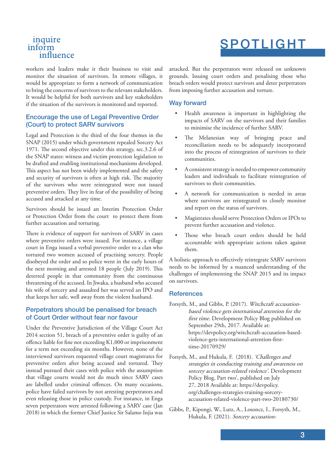### inquire inform influence

# SPOTLIGHT

workers and leaders make it their business to visit and monitor the situation of survivors. In remote villages, it would be appropriate to form a network of communication to bring the concerns of survivors to the relevant stakeholders. It would be helpful for both survivors and key stakeholders if the situation of the survivors is monitored and reported.

### Encourage the use of Legal Preventive Order (Court) to protect SARV survivors

Legal and Protection is the third of the four themes in the SNAP (2015) under which government repealed Sorcery Act 1971. The second objective under this strategy, sec.3.2.6 of the SNAP states: witness and victim protection legislation to be drafted and enabling institutional mechanisms developed. This aspect has not been widely implemented and the safety and security of survivors is often at high risk. The majority of the survivors who were reintegrated were not issued preventive orders. They live in fear of the possibility of being accused and attacked at any time.

Survivors should be issued an Interim Protection Order or Protection Order from the court to protect them from further accusation and torturing.

There is evidence of support for survivors of SARV in cases where preventive orders were issued. For instance, a village court in Enga issued a verbal preventive order to a clan who tortured two women accused of practising sorcery. People disobeyed the order and so police went in the early hours of the next morning and arrested 18 people (July 2019). This deterred people in that community from the continuous threatening of the accused. In Jiwaka, a husband who accused his wife of sorcery and assaulted her was served an IPO and that keeps her safe, well away from the violent husband.

### Perpetrators should be penalised for breach of Court Order without fear nor favour

Under the Preventive Jurisdiction of the Village Court Act 2014 section 51, breach of a preventive order is guilty of an ofence liable for fne not exceeding K1,000 or imprisonment for a term not exceeding six months. However, none of the interviewed survivors requested village court magistrates for preventive orders after being accused and tortured. They instead pursued their cases with police with the assumption that village courts would not do much since SARV cases are labelled under criminal ofences. On many occasions, police have failed survivors by not arresting perpetrators and even releasing those in police custody. For instance, in Enga seven perpetrators were arrested following a SARV case (Jan 2018) in which the former Chief Justice Sir Salamo Injia was

attacked. But the perpetrators were released on unknown grounds. Issuing court orders and penalising those who breach orders would protect survivors and deter perpetrators from imposing further accusation and torture.

#### Way forward

- Health awareness is important in highlighting the impacts of SARV on the survivors and their families to minimise the incidence of further SARV.
- The Melanesian way of bringing peace and reconciliation needs to be adequately incorporated into the process of reintegration of survivors to their communities.
- A consistent strategy is needed to empower community leaders and individuals to facilitate reintegration of survivors to their communities.
- A network for communication is needed in areas where survivors are reintegrated to closely monitor and report on the status of survivors.
- Magistrates should serve Protection Orders or IPOs to prevent further accusation and violence.
- Those who breach court orders should be held accountable with appropriate actions taken against them.

A holistic approach to efectively reintegrate SARV survivors needs to be informed by a nuanced understanding of the challenges of implementing the SNAP 2015 and its impact on survivors.

#### **References**

- Forsyth, M., and Gibbs, P. (2017). Witchcraft accusationbased violence gets international attention for the first time. Development Policy Blog published on September 29th, 2017. Available at: https://devpolicy.org/witchcraft-accusation-basedviolence-gets-international-attention-frsttime-20170929/
- Forsyth, M., and Hukula, F. (2018). 'Challenges and strategies in conducting training and awareness on sorcery accusation-related violence'. Development Policy Blog, Part two', published on July 27, 2018 Available at: https://devpolicy. org/challenges-strategies-training-sorceryaccusation-related-violence-part-two-20180730/
- Gibbs, P., Kipongi, W., Lutz, A., Losoncz, I., Forsyth, M., Hukula, F. (2021). Sorcery accusation-